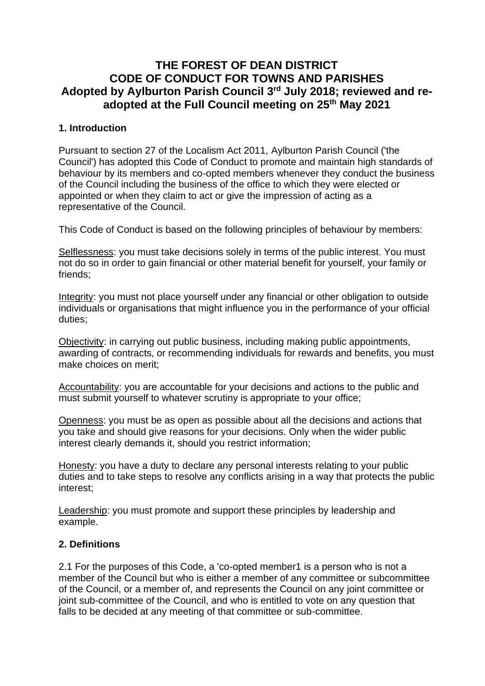## **THE FOREST OF DEAN DISTRICT CODE OF CONDUCT FOR TOWNS AND PARISHES** Adopted by Aylburton Parish Council 3<sup>rd</sup> July 2018; reviewed and re**adopted at the Full Council meeting on 25th May 2021**

## **1. Introduction**

Pursuant to section 27 of the Localism Act 2011, Aylburton Parish Council ('the Council') has adopted this Code of Conduct to promote and maintain high standards of behaviour by its members and co-opted members whenever they conduct the business of the Council including the business of the office to which they were elected or appointed or when they claim to act or give the impression of acting as a representative of the Council.

This Code of Conduct is based on the following principles of behaviour by members:

Selflessness: you must take decisions solely in terms of the public interest. You must not do so in order to gain financial or other material benefit for yourself, your family or friends;

Integrity: you must not place yourself under any financial or other obligation to outside individuals or organisations that might influence you in the performance of your official duties;

Objectivity: in carrying out public business, including making public appointments, awarding of contracts, or recommending individuals for rewards and benefits, you must make choices on merit;

Accountability: you are accountable for your decisions and actions to the public and must submit yourself to whatever scrutiny is appropriate to your office;

Openness: you must be as open as possible about all the decisions and actions that you take and should give reasons for your decisions. Only when the wider public interest clearly demands it, should you restrict information;

Honesty: you have a duty to declare any personal interests relating to your public duties and to take steps to resolve any conflicts arising in a way that protects the public interest;

Leadership: you must promote and support these principles by leadership and example.

#### **2. Definitions**

2.1 For the purposes of this Code, a 'co-opted member1 is a person who is not a member of the Council but who is either a member of any committee or subcommittee of the Council, or a member of, and represents the Council on any joint committee or joint sub-committee of the Council, and who is entitled to vote on any question that falls to be decided at any meeting of that committee or sub-committee.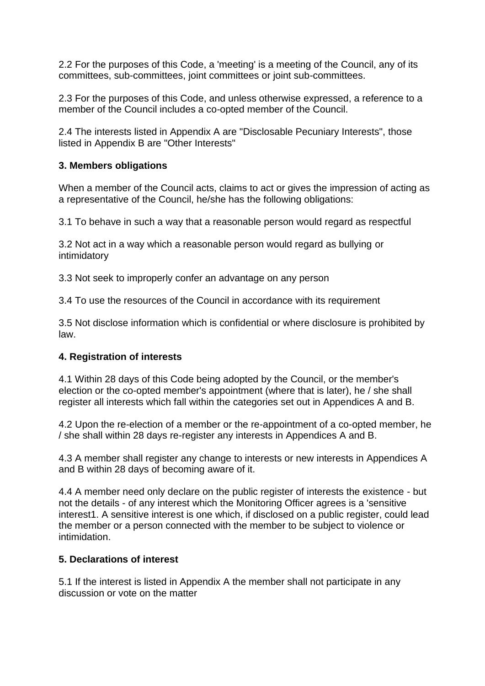2.2 For the purposes of this Code, a 'meeting' is a meeting of the Council, any of its committees, sub-committees, joint committees or joint sub-committees.

2.3 For the purposes of this Code, and unless otherwise expressed, a reference to a member of the Council includes a co-opted member of the Council.

2.4 The interests listed in Appendix A are "Disclosable Pecuniary Interests", those listed in Appendix B are "Other Interests"

## **3. Members obligations**

When a member of the Council acts, claims to act or gives the impression of acting as a representative of the Council, he/she has the following obligations:

3.1 To behave in such a way that a reasonable person would regard as respectful

3.2 Not act in a way which a reasonable person would regard as bullying or intimidatory

3.3 Not seek to improperly confer an advantage on any person

3.4 To use the resources of the Council in accordance with its requirement

3.5 Not disclose information which is confidential or where disclosure is prohibited by law.

#### **4. Registration of interests**

4.1 Within 28 days of this Code being adopted by the Council, or the member's election or the co-opted member's appointment (where that is later), he / she shall register all interests which fall within the categories set out in Appendices A and B.

4.2 Upon the re-election of a member or the re-appointment of a co-opted member, he / she shall within 28 days re-register any interests in Appendices A and B.

4.3 A member shall register any change to interests or new interests in Appendices A and B within 28 days of becoming aware of it.

4.4 A member need only declare on the public register of interests the existence - but not the details - of any interest which the Monitoring Officer agrees is a 'sensitive interest1. A sensitive interest is one which, if disclosed on a public register, could lead the member or a person connected with the member to be subject to violence or intimidation.

## **5. Declarations of interest**

5.1 If the interest is listed in Appendix A the member shall not participate in any discussion or vote on the matter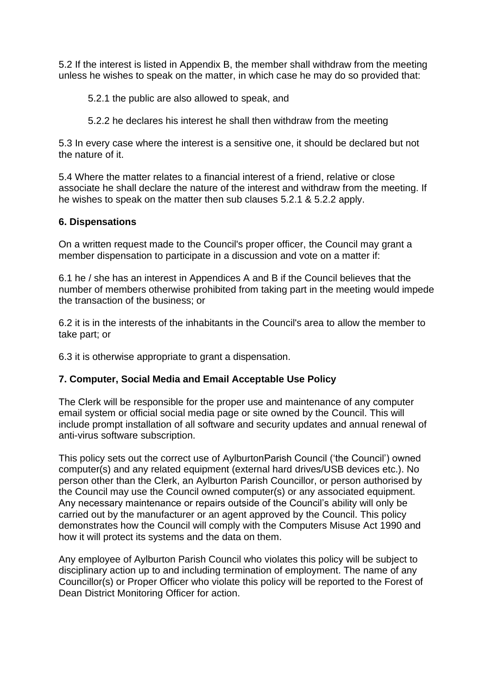5.2 If the interest is listed in Appendix B, the member shall withdraw from the meeting unless he wishes to speak on the matter, in which case he may do so provided that:

5.2.1 the public are also allowed to speak, and

5.2.2 he declares his interest he shall then withdraw from the meeting

5.3 In every case where the interest is a sensitive one, it should be declared but not the nature of it.

5.4 Where the matter relates to a financial interest of a friend, relative or close associate he shall declare the nature of the interest and withdraw from the meeting. If he wishes to speak on the matter then sub clauses 5.2.1 & 5.2.2 apply.

#### **6. Dispensations**

On a written request made to the Council's proper officer, the Council may grant a member dispensation to participate in a discussion and vote on a matter if:

6.1 he / she has an interest in Appendices A and B if the Council believes that the number of members otherwise prohibited from taking part in the meeting would impede the transaction of the business; or

6.2 it is in the interests of the inhabitants in the Council's area to allow the member to take part; or

6.3 it is otherwise appropriate to grant a dispensation.

## **7. Computer, Social Media and Email Acceptable Use Policy**

The Clerk will be responsible for the proper use and maintenance of any computer email system or official social media page or site owned by the Council. This will include prompt installation of all software and security updates and annual renewal of anti-virus software subscription.

This policy sets out the correct use of AylburtonParish Council ('the Council') owned computer(s) and any related equipment (external hard drives/USB devices etc.). No person other than the Clerk, an Aylburton Parish Councillor, or person authorised by the Council may use the Council owned computer(s) or any associated equipment. Any necessary maintenance or repairs outside of the Council's ability will only be carried out by the manufacturer or an agent approved by the Council. This policy demonstrates how the Council will comply with the Computers Misuse Act 1990 and how it will protect its systems and the data on them.

Any employee of Aylburton Parish Council who violates this policy will be subject to disciplinary action up to and including termination of employment. The name of any Councillor(s) or Proper Officer who violate this policy will be reported to the Forest of Dean District Monitoring Officer for action.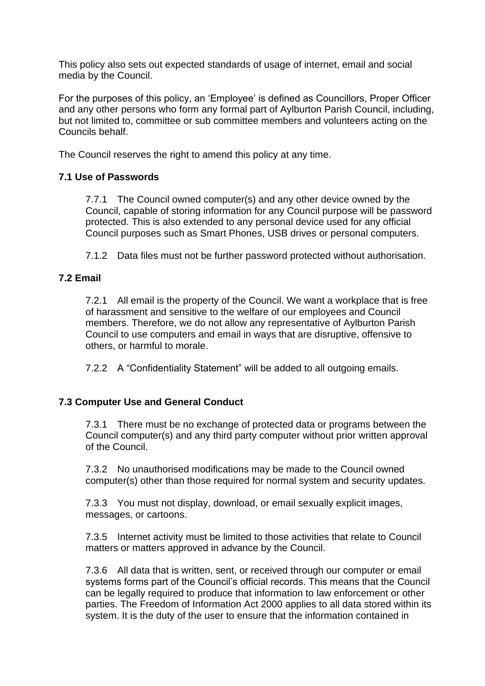This policy also sets out expected standards of usage of internet, email and social media by the Council.

For the purposes of this policy, an 'Employee' is defined as Councillors, Proper Officer and any other persons who form any formal part of Aylburton Parish Council, including, but not limited to, committee or sub committee members and volunteers acting on the Councils behalf.

The Council reserves the right to amend this policy at any time.

## **7.1 Use of Passwords**

7.7.1 The Council owned computer(s) and any other device owned by the Council, capable of storing information for any Council purpose will be password protected. This is also extended to any personal device used for any official Council purposes such as Smart Phones, USB drives or personal computers.

7.1.2 Data files must not be further password protected without authorisation.

## **7.2 Email**

7.2.1 All email is the property of the Council. We want a workplace that is free of harassment and sensitive to the welfare of our employees and Council members. Therefore, we do not allow any representative of Aylburton Parish Council to use computers and email in ways that are disruptive, offensive to others, or harmful to morale.

7.2.2 A "Confidentiality Statement" will be added to all outgoing emails.

## **7.3 Computer Use and General Conduct**

7.3.1 There must be no exchange of protected data or programs between the Council computer(s) and any third party computer without prior written approval of the Council.

7.3.2 No unauthorised modifications may be made to the Council owned computer(s) other than those required for normal system and security updates.

7.3.3 You must not display, download, or email sexually explicit images, messages, or cartoons.

7.3.5 Internet activity must be limited to those activities that relate to Council matters or matters approved in advance by the Council.

7.3.6 All data that is written, sent, or received through our computer or email systems forms part of the Council's official records. This means that the Council can be legally required to produce that information to law enforcement or other parties. The Freedom of Information Act 2000 applies to all data stored within its system. It is the duty of the user to ensure that the information contained in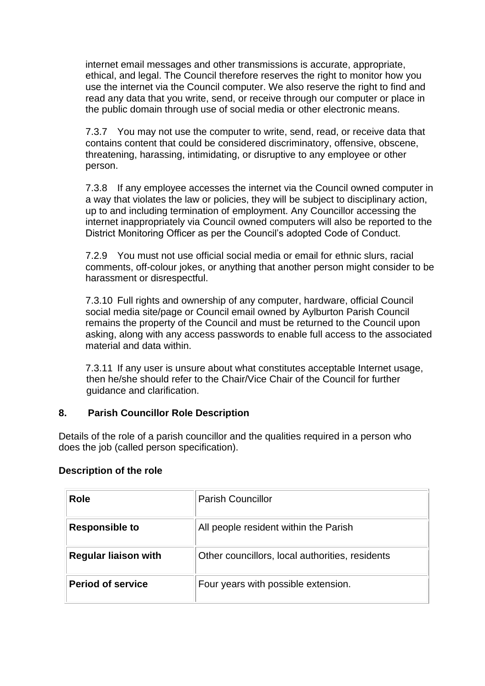internet email messages and other transmissions is accurate, appropriate, ethical, and legal. The Council therefore reserves the right to monitor how you use the internet via the Council computer. We also reserve the right to find and read any data that you write, send, or receive through our computer or place in the public domain through use of social media or other electronic means.

7.3.7 You may not use the computer to write, send, read, or receive data that contains content that could be considered discriminatory, offensive, obscene, threatening, harassing, intimidating, or disruptive to any employee or other person.

7.3.8 If any employee accesses the internet via the Council owned computer in a way that violates the law or policies, they will be subject to disciplinary action, up to and including termination of employment. Any Councillor accessing the internet inappropriately via Council owned computers will also be reported to the District Monitoring Officer as per the Council's adopted Code of Conduct.

7.2.9 You must not use official social media or email for ethnic slurs, racial comments, off-colour jokes, or anything that another person might consider to be harassment or disrespectful.

7.3.10 Full rights and ownership of any computer, hardware, official Council social media site/page or Council email owned by Aylburton Parish Council remains the property of the Council and must be returned to the Council upon asking, along with any access passwords to enable full access to the associated material and data within.

7.3.11 If any user is unsure about what constitutes acceptable Internet usage, then he/she should refer to the Chair/Vice Chair of the Council for further guidance and clarification.

## **8. Parish Councillor Role Description**

Details of the role of a parish councillor and the qualities required in a person who does the job (called person specification).

#### **Description of the role**

| Role                        | <b>Parish Councillor</b>                        |
|-----------------------------|-------------------------------------------------|
| <b>Responsible to</b>       | All people resident within the Parish           |
| <b>Regular liaison with</b> | Other councillors, local authorities, residents |
| <b>Period of service</b>    | Four years with possible extension.             |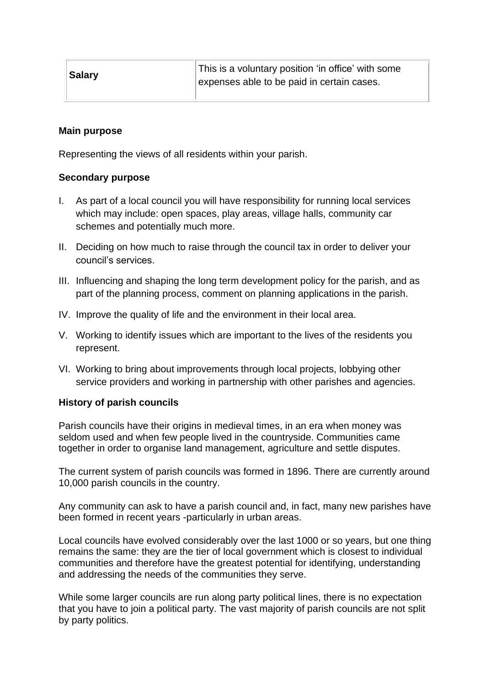| Salary | This is a voluntary position 'in office' with some<br>expenses able to be paid in certain cases. |
|--------|--------------------------------------------------------------------------------------------------|
|        |                                                                                                  |

## **Main purpose**

Representing the views of all residents within your parish.

## **Secondary purpose**

- I. As part of a local council you will have responsibility for running local services which may include: open spaces, play areas, village halls, community car schemes and potentially much more.
- II. Deciding on how much to raise through the council tax in order to deliver your council's services.
- III. Influencing and shaping the long term development policy for the parish, and as part of the planning process, comment on planning applications in the parish.
- IV. Improve the quality of life and the environment in their local area.
- V. Working to identify issues which are important to the lives of the residents you represent.
- VI. Working to bring about improvements through local projects, lobbying other service providers and working in partnership with other parishes and agencies.

## **History of parish councils**

Parish councils have their origins in medieval times, in an era when money was seldom used and when few people lived in the countryside. Communities came together in order to organise land management, agriculture and settle disputes.

The current system of parish councils was formed in 1896. There are currently around 10,000 parish councils in the country.

Any community can ask to have a parish council and, in fact, many new parishes have been formed in recent years -particularly in urban areas.

Local councils have evolved considerably over the last 1000 or so years, but one thing remains the same: they are the tier of local government which is closest to individual communities and therefore have the greatest potential for identifying, understanding and addressing the needs of the communities they serve.

While some larger councils are run along party political lines, there is no expectation that you have to join a political party. The vast majority of parish councils are not split by party politics.